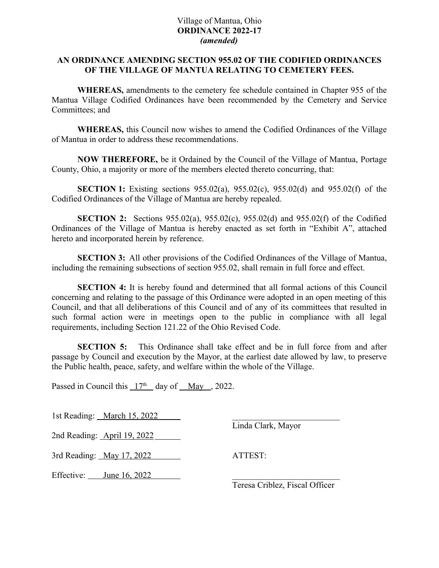#### Village of Mantua, Ohio **ORDINANCE 2022-17** *(amended)*

### **AN ORDINANCE AMENDING SECTION 955.02 OF THE CODIFIED ORDINANCES OF THE VILLAGE OF MANTUA RELATING TO CEMETERY FEES.**

**WHEREAS,** amendments to the cemetery fee schedule contained in Chapter 955 of the Mantua Village Codified Ordinances have been recommended by the Cemetery and Service Committees; and

**WHEREAS,** this Council now wishes to amend the Codified Ordinances of the Village of Mantua in order to address these recommendations.

**NOW THEREFORE,** be it Ordained by the Council of the Village of Mantua, Portage County, Ohio, a majority or more of the members elected thereto concurring, that:

**SECTION 1:** Existing sections 955.02(a), 955.02(c), 955.02(d) and 955.02(f) of the Codified Ordinances of the Village of Mantua are hereby repealed.

**SECTION 2:** Sections 955.02(a), 955.02(c), 955.02(d) and 955.02(f) of the Codified Ordinances of the Village of Mantua is hereby enacted as set forth in "Exhibit A", attached hereto and incorporated herein by reference.

**SECTION 3:** All other provisions of the Codified Ordinances of the Village of Mantua, including the remaining subsections of section 955.02, shall remain in full force and effect.

**SECTION 4:** It is hereby found and determined that all formal actions of this Council concerning and relating to the passage of this Ordinance were adopted in an open meeting of this Council, and that all deliberations of this Council and of any of its committees that resulted in such formal action were in meetings open to the public in compliance with all legal requirements, including Section 121.22 of the Ohio Revised Code.

**SECTION 5:** This Ordinance shall take effect and be in full force from and after passage by Council and execution by the Mayor, at the earliest date allowed by law, to preserve the Public health, peace, safety, and welfare within the whole of the Village.

Passed in Council this  $17<sup>th</sup>$  day of <u>May</u>, 2022.

1st Reading: March  $15, 2022$ 

Linda Clark, Mayor

2nd Reading: April 19, 2022

3rd Reading: <u>May 17, 2022</u> ATTEST:

Effective:  $\frac{\text{June }16, 2022}{\text{June }16, 2022}$ 

Teresa Criblez, Fiscal Officer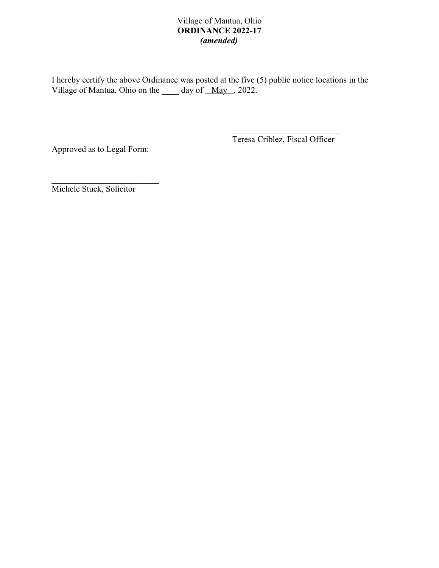# Village of Mantua, Ohio **ORDINANCE 2022-17** *(amended)*

I hereby certify the above Ordinance was posted at the five (5) public notice locations in the Village of Mantua, Ohio on the day of May , 2022.

Approved as to Legal Form:

Teresa Criblez, Fiscal Officer

Michele Stuck, Solicitor